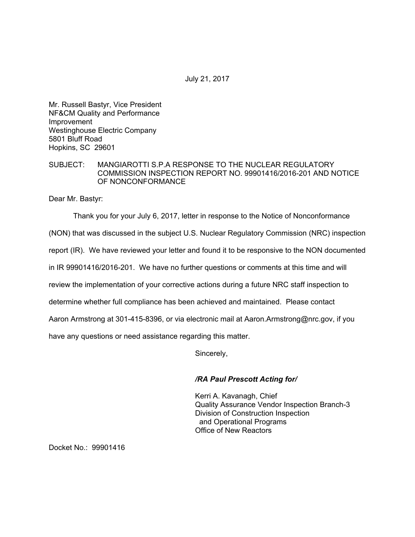July 21, 2017

Mr. Russell Bastyr, Vice President NF&CM Quality and Performance Improvement Westinghouse Electric Company 5801 Bluff Road Hopkins, SC 29601

## SUBJECT: MANGIAROTTI S.P.A RESPONSE TO THE NUCLEAR REGULATORY COMMISSION INSPECTION REPORT NO. 99901416/2016-201 AND NOTICE OF NONCONFORMANCE

Dear Mr. Bastyr:

Thank you for your July 6, 2017, letter in response to the Notice of Nonconformance

(NON) that was discussed in the subject U.S. Nuclear Regulatory Commission (NRC) inspection

report (IR). We have reviewed your letter and found it to be responsive to the NON documented

in IR 99901416/2016-201. We have no further questions or comments at this time and will

review the implementation of your corrective actions during a future NRC staff inspection to

determine whether full compliance has been achieved and maintained. Please contact

Aaron Armstrong at 301-415-8396, or via electronic mail at Aaron.Armstrong@nrc.gov, if you

have any questions or need assistance regarding this matter.

Sincerely,

## */RA Paul Prescott Acting for/*

Kerri A. Kavanagh, Chief Quality Assurance Vendor Inspection Branch-3 Division of Construction Inspection and Operational Programs Office of New Reactors

Docket No.: 99901416